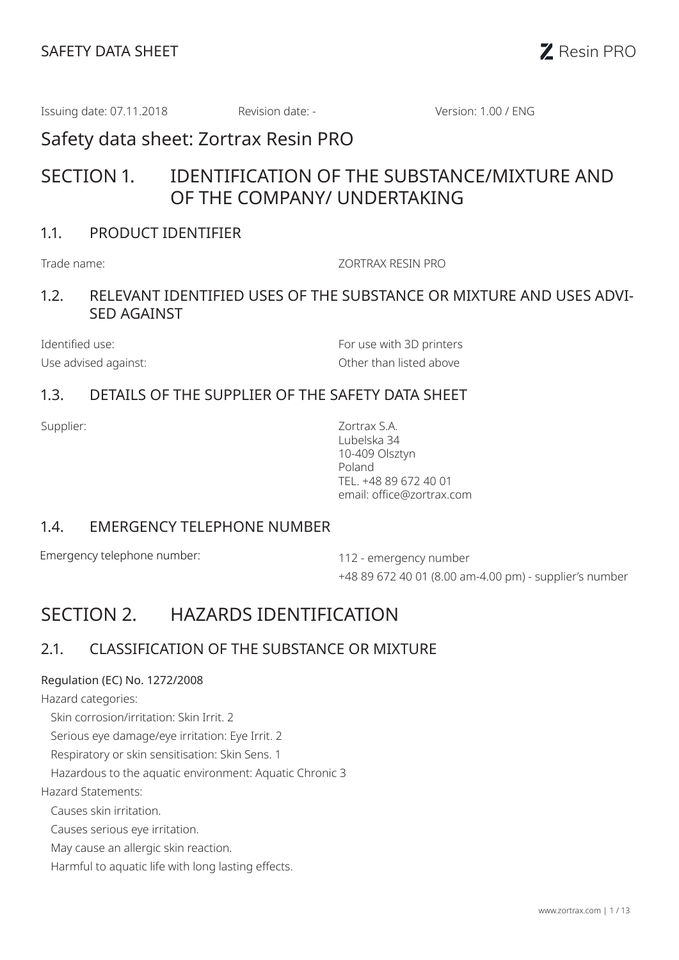Issuing date: 07.11.2018 Revision date: - Version: 1.00 / ENG

Safety data sheet: Zortrax Resin PRO

# SECTION 1. IDENTIFICATION OF THE SUBSTANCE/MIXTURE AND OF THE COMPANY/ UNDERTAKING

## 1.1. PRODUCT IDENTIFIER

Trade name: ZORTRAX RESIN PRO

### 1.2. RELEVANT IDENTIFIED USES OF THE SUBSTANCE OR MIXTURE AND USES ADVI-SED AGAINST

Identified use: The Contract of the Contract of the Formulae with 3D printers Use advised against: Use advised against:

### 1.3. DETAILS OF THE SUPPLIER OF THE SAFETY DATA SHEET

Supplier: Zortrax S.A. Lubelska 34 10-409 Olsztyn Poland TEL. +48 89 672 40 01 email: office@zortrax.com

#### 1.4. EMERGENCY TELEPHONE NUMBER

Emergency telephone number: 112 - emergency number

+48 89 672 40 01 (8.00 am-4.00 pm) - supplier's number

# SECTION 2. HAZARDS IDENTIFICATION

## 2.1. CLASSIFICATION OF THE SUBSTANCE OR MIXTURE

#### Regulation (EC) No. 1272/2008

Hazard categories:

Skin corrosion/irritation: Skin Irrit. 2

Serious eye damage/eye irritation: Eye Irrit. 2

Respiratory or skin sensitisation: Skin Sens. 1

Hazardous to the aquatic environment: Aquatic Chronic 3

Hazard Statements:

Causes skin irritation.

Causes serious eye irritation.

May cause an allergic skin reaction.

Harmful to aquatic life with long lasting effects.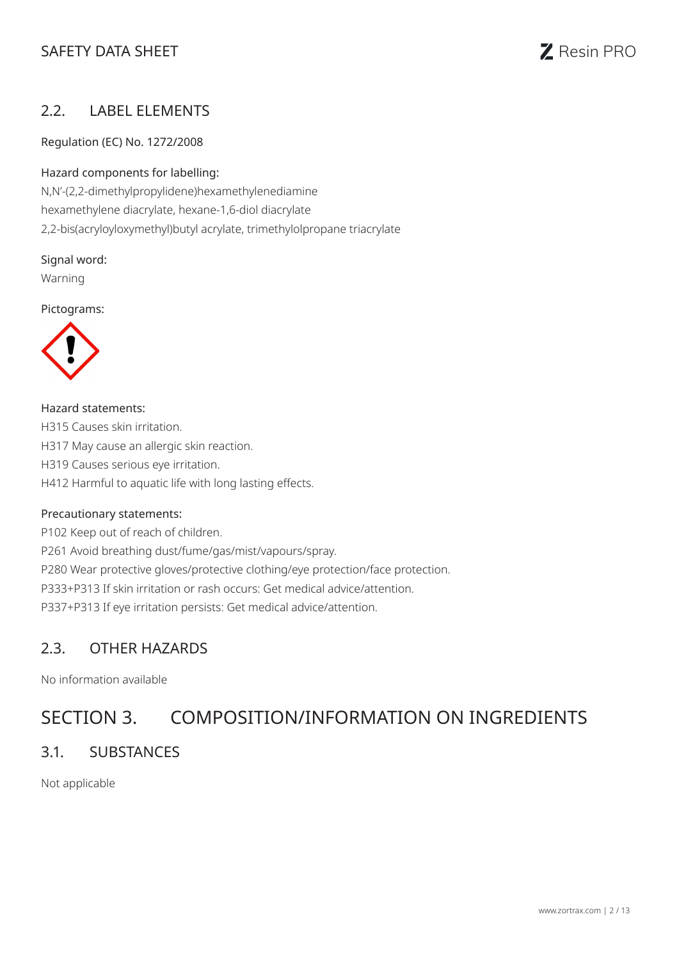## SAFETY DATA SHEET **SAFETY** DATA SHEET



#### 2.2. LABEL ELEMENTS

Regulation (EC) No. 1272/2008

#### Hazard components for labelling:

N,N'-(2,2-dimethylpropylidene)hexamethylenediamine hexamethylene diacrylate, hexane-1,6-diol diacrylate 2,2-bis(acryloyloxymethyl)butyl acrylate, trimethylolpropane triacrylate

Signal word:

Warning

Pictograms:



Hazard statements: H315 Causes skin irritation. H317 May cause an allergic skin reaction. H319 Causes serious eye irritation. H412 Harmful to aquatic life with long lasting effects.

#### Precautionary statements:

P102 Keep out of reach of children. P261 Avoid breathing dust/fume/gas/mist/vapours/spray. P280 Wear protective gloves/protective clothing/eye protection/face protection. P333+P313 If skin irritation or rash occurs: Get medical advice/attention. P337+P313 If eye irritation persists: Get medical advice/attention.

#### 2.3. OTHER HAZARDS

No information available

## SECTION 3. COMPOSITION/INFORMATION ON INGREDIENTS

#### 3.1. SUBSTANCES

Not applicable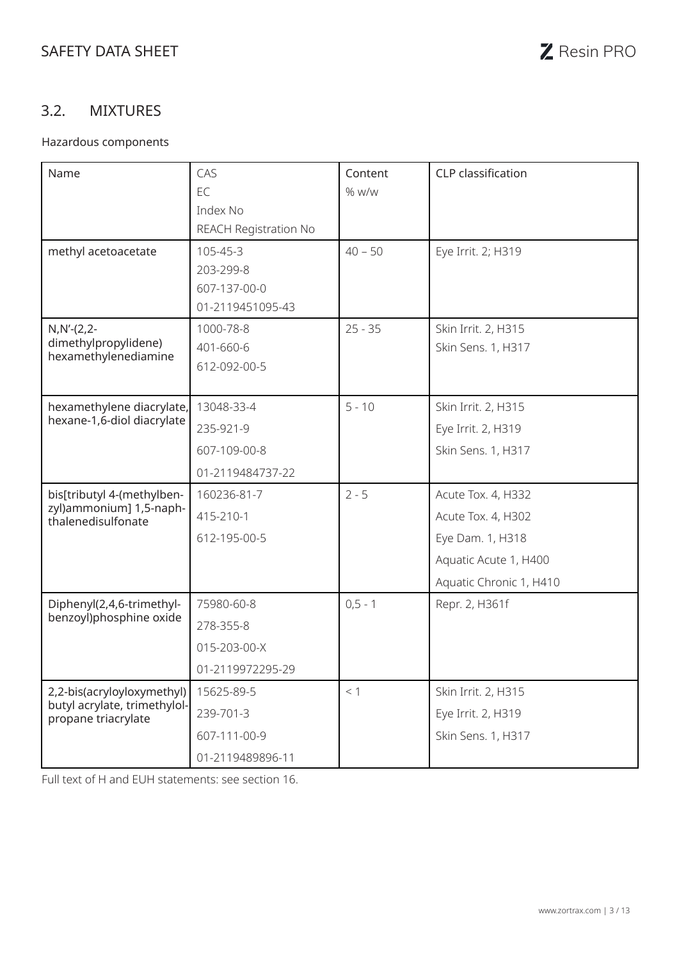## 3.2. MIXTURES

#### Hazardous components

| Name                                                                              | CAS                   | Content    | CLP classification      |
|-----------------------------------------------------------------------------------|-----------------------|------------|-------------------------|
|                                                                                   | EC                    | $%$ w/w    |                         |
|                                                                                   | Index No              |            |                         |
|                                                                                   | REACH Registration No |            |                         |
| methyl acetoacetate                                                               | 105-45-3              | $40 - 50$  | Eye Irrit. 2; H319      |
|                                                                                   | 203-299-8             |            |                         |
|                                                                                   | 607-137-00-0          |            |                         |
|                                                                                   | 01-2119451095-43      |            |                         |
| $N, N'-(2, 2-$                                                                    | 1000-78-8             | $25 - 35$  | Skin Irrit. 2, H315     |
| dimethylpropylidene)<br>hexamethylenediamine                                      | 401-660-6             |            | Skin Sens. 1, H317      |
|                                                                                   | 612-092-00-5          |            |                         |
|                                                                                   |                       |            |                         |
| hexamethylene diacrylate,<br>hexane-1,6-diol diacrylate                           | 13048-33-4            | $5 - 10$   | Skin Irrit. 2, H315     |
|                                                                                   | 235-921-9             |            | Eye Irrit. 2, H319      |
|                                                                                   | 607-109-00-8          |            | Skin Sens. 1, H317      |
|                                                                                   | 01-2119484737-22      |            |                         |
| bis[tributyl 4-(methylben-<br>zyl)ammonium] 1,5-naph-<br>thalenedisulfonate       | 160236-81-7           | $2 - 5$    | Acute Tox. 4, H332      |
|                                                                                   | 415-210-1             |            | Acute Tox. 4, H302      |
|                                                                                   | 612-195-00-5          |            | Eye Dam. 1, H318        |
|                                                                                   |                       |            | Aquatic Acute 1, H400   |
|                                                                                   |                       |            | Aquatic Chronic 1, H410 |
| Diphenyl(2,4,6-trimethyl-<br>benzoyl)phosphine oxide                              | 75980-60-8            | $0, 5 - 1$ | Repr. 2, H361f          |
|                                                                                   | 278-355-8             |            |                         |
|                                                                                   | 015-203-00-X          |            |                         |
|                                                                                   | 01-2119972295-29      |            |                         |
| 2,2-bis(acryloyloxymethyl)<br>butyl acrylate, trimethylol-<br>propane triacrylate | 15625-89-5            | < 1        | Skin Irrit. 2, H315     |
|                                                                                   | 239-701-3             |            | Eye Irrit. 2, H319      |
|                                                                                   | 607-111-00-9          |            | Skin Sens. 1, H317      |
|                                                                                   | 01-2119489896-11      |            |                         |

Full text of H and EUH statements: see section 16.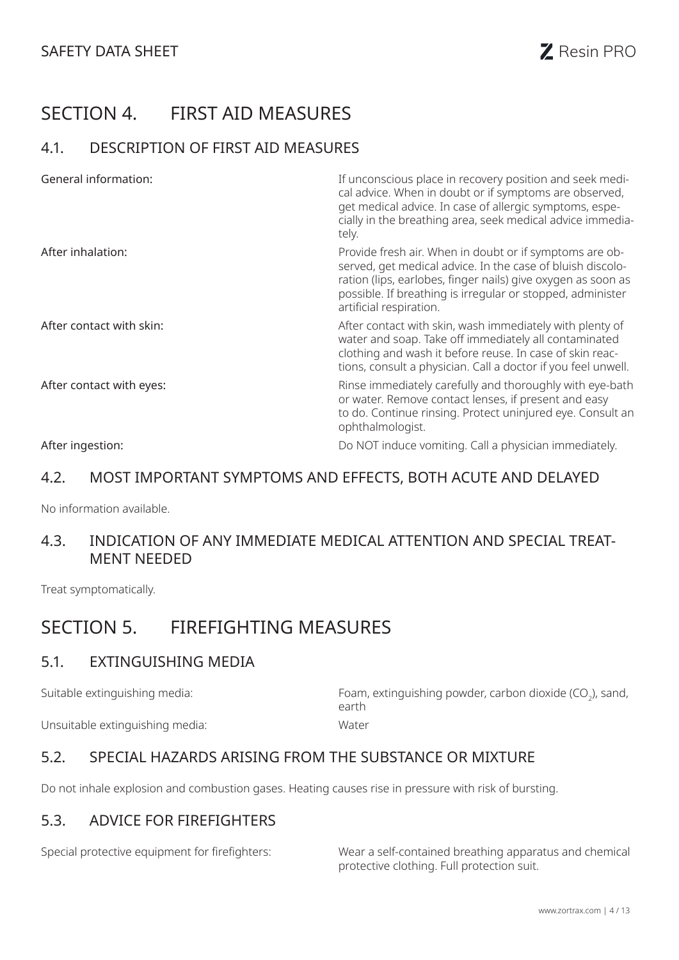# SECTION 4. FIRST AID MEASURES

### 4.1. DESCRIPTION OF FIRST AID MEASURES

| General information:     | If unconscious place in recovery position and seek medi-<br>cal advice. When in doubt or if symptoms are observed,<br>get medical advice. In case of allergic symptoms, espe-<br>cially in the breathing area, seek medical advice immedia-<br>tely.                           |
|--------------------------|--------------------------------------------------------------------------------------------------------------------------------------------------------------------------------------------------------------------------------------------------------------------------------|
| After inhalation:        | Provide fresh air. When in doubt or if symptoms are ob-<br>served, get medical advice. In the case of bluish discolo-<br>ration (lips, earlobes, finger nails) give oxygen as soon as<br>possible. If breathing is irregular or stopped, administer<br>artificial respiration. |
| After contact with skin: | After contact with skin, wash immediately with plenty of<br>water and soap. Take off immediately all contaminated<br>clothing and wash it before reuse. In case of skin reac-<br>tions, consult a physician. Call a doctor if you feel unwell.                                 |
| After contact with eyes: | Rinse immediately carefully and thoroughly with eye-bath<br>or water. Remove contact lenses, if present and easy<br>to do. Continue rinsing. Protect uninjured eye. Consult an<br>ophthalmologist.                                                                             |
| After ingestion:         | Do NOT induce vomiting. Call a physician immediately.                                                                                                                                                                                                                          |

### 4.2. MOST IMPORTANT SYMPTOMS AND EFFECTS, BOTH ACUTE AND DELAYED

No information available.

#### 4.3. INDICATION OF ANY IMMEDIATE MEDICAL ATTENTION AND SPECIAL TREAT-MENT NEEDED

Treat symptomatically.

## SECTION 5. FIREFIGHTING MEASURES

#### 5.1. EXTINGUISHING MEDIA

Suitable extinguishing media:  $\qquad \qquad \qquad$  Foam, extinguishing powder, carbon dioxide (CO<sub>2</sub>), sand, earth Unsuitable extinguishing media: Water

### 5.2. SPECIAL HAZARDS ARISING FROM THE SUBSTANCE OR MIXTURE

Do not inhale explosion and combustion gases. Heating causes rise in pressure with risk of bursting.

### 5.3. ADVICE FOR FIREFIGHTERS

Special protective equipment for firefighters: Wear a self-contained breathing apparatus and chemical protective clothing. Full protection suit.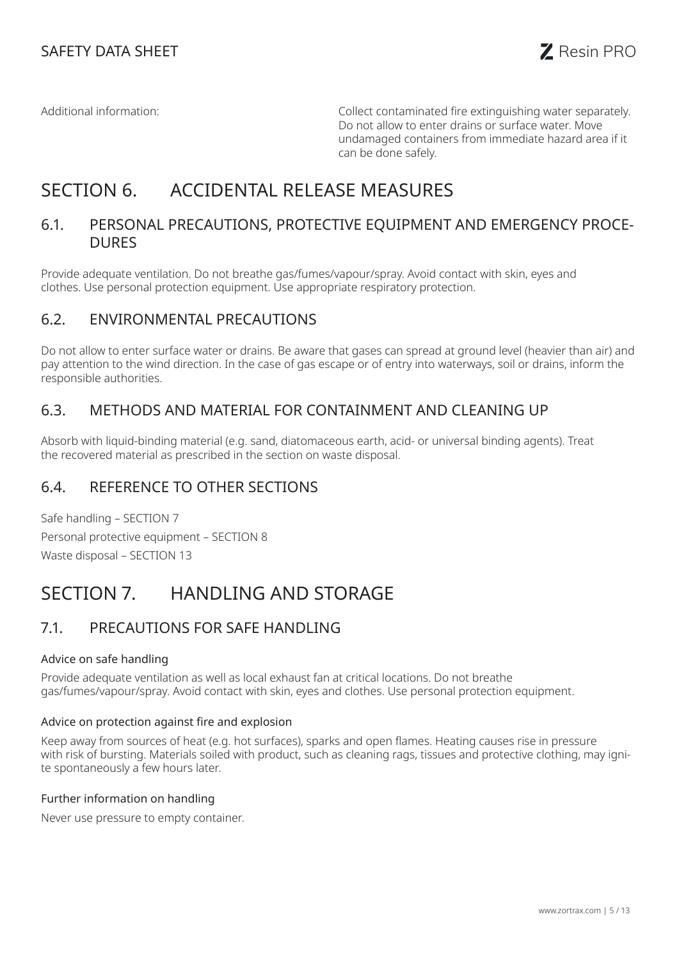Additional information: Collect contaminated fire extinguishing water separately. Do not allow to enter drains or surface water. Move undamaged containers from immediate hazard area if it can be done safely.

# SECTION 6. ACCIDENTAL RELEASE MEASURES

#### 6.1. PERSONAL PRECAUTIONS, PROTECTIVE EQUIPMENT AND EMERGENCY PROCE-DURES

Provide adequate ventilation. Do not breathe gas/fumes/vapour/spray. Avoid contact with skin, eyes and clothes. Use personal protection equipment. Use appropriate respiratory protection.

#### 6.2. ENVIRONMENTAL PRECAUTIONS

Do not allow to enter surface water or drains. Be aware that gases can spread at ground level (heavier than air) and pay attention to the wind direction. In the case of gas escape or of entry into waterways, soil or drains, inform the responsible authorities.

### 6.3. METHODS AND MATERIAL FOR CONTAINMENT AND CLEANING UP

Absorb with liquid-binding material (e.g. sand, diatomaceous earth, acid- or universal binding agents). Treat the recovered material as prescribed in the section on waste disposal.

### 6.4. REFERENCE TO OTHER SECTIONS

Safe handling – SECTION 7 Personal protective equipment – SECTION 8 Waste disposal – SECTION 13

## SECTION 7. HANDLING AND STORAGE

### 7.1. PRECAUTIONS FOR SAFE HANDLING

#### Advice on safe handling

Provide adequate ventilation as well as local exhaust fan at critical locations. Do not breathe gas/fumes/vapour/spray. Avoid contact with skin, eyes and clothes. Use personal protection equipment.

#### Advice on protection against fire and explosion

Keep away from sources of heat (e.g. hot surfaces), sparks and open flames. Heating causes rise in pressure with risk of bursting. Materials soiled with product, such as cleaning rags, tissues and protective clothing, may ignite spontaneously a few hours later.

#### Further information on handling

Never use pressure to empty container.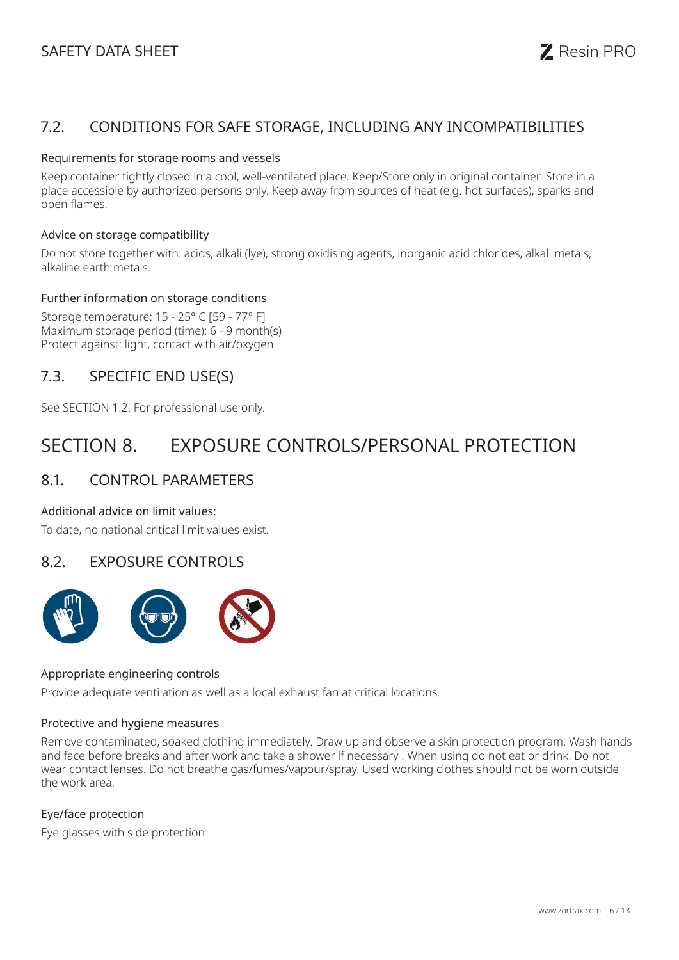## SAFETY DATA SHEET **SAFETY** DATA SHEET



#### 7.2. CONDITIONS FOR SAFE STORAGE, INCLUDING ANY INCOMPATIBILITIES

#### Requirements for storage rooms and vessels

Keep container tightly closed in a cool, well-ventilated place. Keep/Store only in original container. Store in a place accessible by authorized persons only. Keep away from sources of heat (e.g. hot surfaces), sparks and open flames.

#### Advice on storage compatibility

Do not store together with: acids, alkali (lye), strong oxidising agents, inorganic acid chlorides, alkali metals, alkaline earth metals.

#### Further information on storage conditions

Storage temperature: 15 - 25° C [59 - 77° F] Maximum storage period (time): 6 - 9 month(s) Protect against: light, contact with air/oxygen

#### 7.3. SPECIFIC END USE(S)

See SECTION 1.2. For professional use only.

## SECTION 8. EXPOSURE CONTROLS/PERSONAL PROTECTION

#### 8.1. CONTROL PARAMETERS

#### Additional advice on limit values:

To date, no national critical limit values exist.

#### 8.2. EXPOSURE CONTROLS



#### Appropriate engineering controls

Provide adequate ventilation as well as a local exhaust fan at critical locations.

#### Protective and hygiene measures

Remove contaminated, soaked clothing immediately. Draw up and observe a skin protection program. Wash hands and face before breaks and after work and take a shower if necessary . When using do not eat or drink. Do not wear contact lenses. Do not breathe gas/fumes/vapour/spray. Used working clothes should not be worn outside the work area.

#### Eye/face protection

Eye glasses with side protection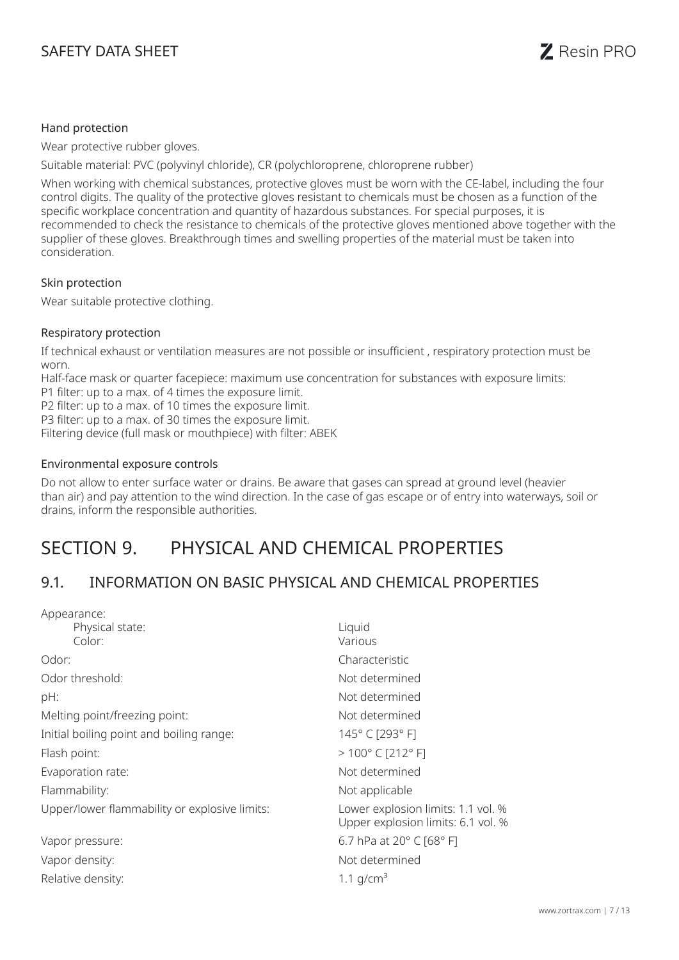

#### Hand protection

Wear protective rubber gloves.

Suitable material: PVC (polyvinyl chloride), CR (polychloroprene, chloroprene rubber)

When working with chemical substances, protective gloves must be worn with the CE-label, including the four control digits. The quality of the protective gloves resistant to chemicals must be chosen as a function of the specific workplace concentration and quantity of hazardous substances. For special purposes, it is recommended to check the resistance to chemicals of the protective gloves mentioned above together with the supplier of these gloves. Breakthrough times and swelling properties of the material must be taken into consideration.

#### Skin protection

Wear suitable protective clothing.

#### Respiratory protection

If technical exhaust or ventilation measures are not possible or insufficient , respiratory protection must be worn.

Half-face mask or quarter facepiece: maximum use concentration for substances with exposure limits:

P1 filter: up to a max. of 4 times the exposure limit.

P2 filter: up to a max. of 10 times the exposure limit. P3 filter: up to a max. of 30 times the exposure limit.

Filtering device (full mask or mouthpiece) with filter: ABEK

#### Environmental exposure controls

Do not allow to enter surface water or drains. Be aware that gases can spread at ground level (heavier than air) and pay attention to the wind direction. In the case of gas escape or of entry into waterways, soil or drains, inform the responsible authorities.

## SECTION 9. PHYSICAL AND CHEMICAL PROPERTIES

### 9.1. INFORMATION ON BASIC PHYSICAL AND CHEMICAL PROPERTIES

| Appearance:                                   |                                                                          |
|-----------------------------------------------|--------------------------------------------------------------------------|
| Physical state:                               | Liquid                                                                   |
| Color:                                        | Various                                                                  |
| Odor:                                         | Characteristic                                                           |
| Odor threshold:                               | Not determined                                                           |
| pH:                                           | Not determined                                                           |
| Melting point/freezing point:                 | Not determined                                                           |
| Initial boiling point and boiling range:      | 145°C [293°F]                                                            |
| Flash point:                                  | $>100^{\circ}$ C [212° F]                                                |
| Evaporation rate:                             | Not determined                                                           |
| Flammability:                                 | Not applicable                                                           |
| Upper/lower flammability or explosive limits: | Lower explosion limits: 1.1 vol. %<br>Upper explosion limits: 6.1 vol. % |
| Vapor pressure:                               | 6.7 hPa at 20° C [68° F]                                                 |
| Vapor density:                                | Not determined                                                           |
| Relative density:                             | 1.1 $q/cm^3$                                                             |
|                                               |                                                                          |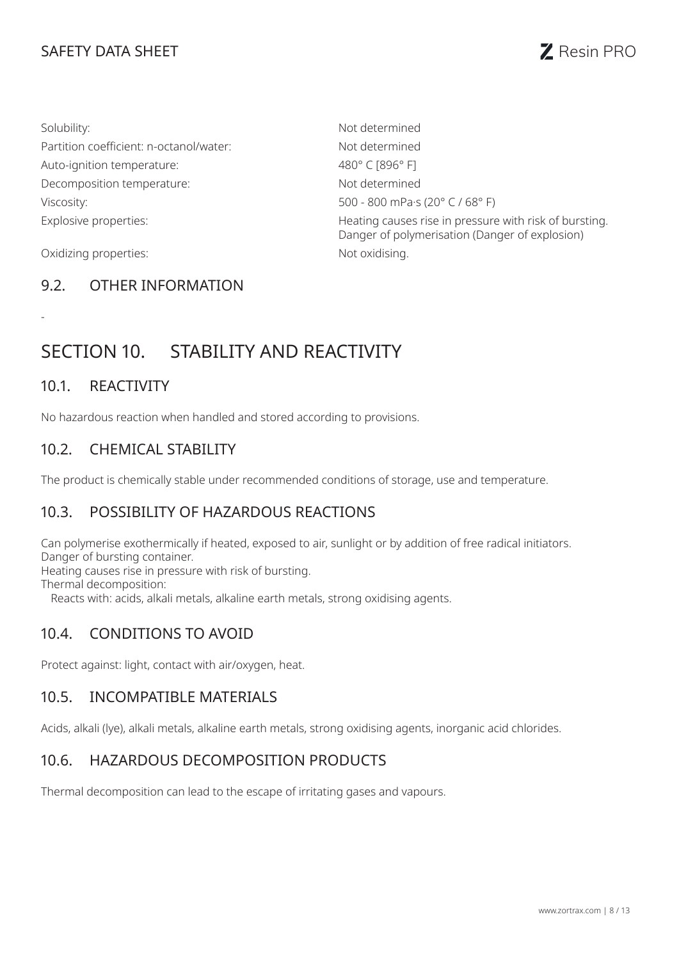## SAFETY DATA SHEET **Resin PRO**



| Solubility:                             | Not determined                                                                                           |
|-----------------------------------------|----------------------------------------------------------------------------------------------------------|
| Partition coefficient: n-octanol/water: | Not determined                                                                                           |
| Auto-ignition temperature:              | 480°C [896°F]                                                                                            |
| Decomposition temperature:              | Not determined                                                                                           |
| Viscosity:                              | 500 - 800 mPa·s (20° C / 68° F)                                                                          |
| Explosive properties:                   | Heating causes rise in pressure with risk of bursting.<br>Danger of polymerisation (Danger of explosion) |
| Oxidizing properties:                   | Not oxidising.                                                                                           |

### 9.2. OTHER INFORMATION

# SECTION 10. STABILITY AND REACTIVITY

#### 10.1. REACTIVITY

-

No hazardous reaction when handled and stored according to provisions.

### 10.2. CHEMICAL STABILITY

The product is chemically stable under recommended conditions of storage, use and temperature.

### 10.3. POSSIBILITY OF HAZARDOUS REACTIONS

Can polymerise exothermically if heated, exposed to air, sunlight or by addition of free radical initiators. Danger of bursting container.

Heating causes rise in pressure with risk of bursting.

Thermal decomposition:

Reacts with: acids, alkali metals, alkaline earth metals, strong oxidising agents.

### 10.4. CONDITIONS TO AVOID

Protect against: light, contact with air/oxygen, heat.

#### 10.5. INCOMPATIBLE MATERIALS

Acids, alkali (lye), alkali metals, alkaline earth metals, strong oxidising agents, inorganic acid chlorides.

#### 10.6. HAZARDOUS DECOMPOSITION PRODUCTS

Thermal decomposition can lead to the escape of irritating gases and vapours.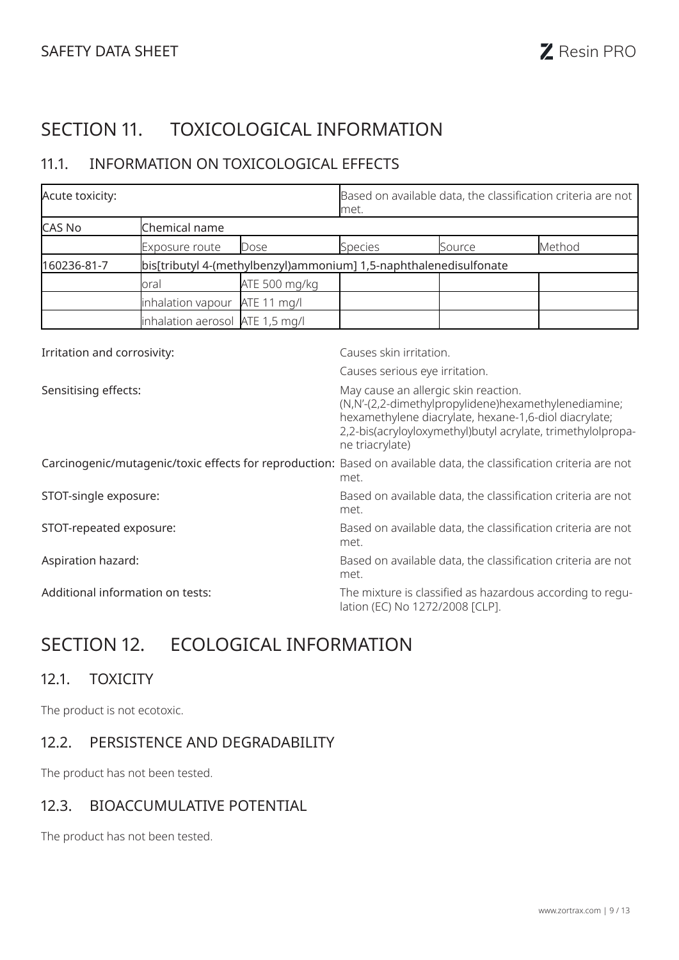# SECTION 11. TOXICOLOGICAL INFORMATION

## 11.1. INFORMATION ON TOXICOLOGICAL EFFECTS

| Acute toxicity:                                                                  |                                  |                                                                                                                                                                                                                                         | met.                            |        | Based on available data, the classification criteria are not                                                        |
|----------------------------------------------------------------------------------|----------------------------------|-----------------------------------------------------------------------------------------------------------------------------------------------------------------------------------------------------------------------------------------|---------------------------------|--------|---------------------------------------------------------------------------------------------------------------------|
| <b>CAS No</b>                                                                    | Chemical name                    |                                                                                                                                                                                                                                         |                                 |        |                                                                                                                     |
|                                                                                  | Exposure route                   | Dose                                                                                                                                                                                                                                    | <b>Species</b>                  | Source | Method                                                                                                              |
| bis[tributyl 4-(methylbenzyl)ammonium] 1,5-naphthalenedisulfonate<br>160236-81-7 |                                  |                                                                                                                                                                                                                                         |                                 |        |                                                                                                                     |
|                                                                                  | oral                             | ATE 500 mg/kg                                                                                                                                                                                                                           |                                 |        |                                                                                                                     |
|                                                                                  | inhalation vapour                | ATE 11 mg/l                                                                                                                                                                                                                             |                                 |        |                                                                                                                     |
|                                                                                  | inhalation aerosol ATE 1,5 mg/l  |                                                                                                                                                                                                                                         |                                 |        |                                                                                                                     |
| Irritation and corrosivity:                                                      |                                  |                                                                                                                                                                                                                                         | Causes skin irritation.         |        |                                                                                                                     |
|                                                                                  |                                  |                                                                                                                                                                                                                                         | Causes serious eye irritation.  |        |                                                                                                                     |
| Sensitising effects:                                                             |                                  | May cause an allergic skin reaction.<br>(N,N'-(2,2-dimethylpropylidene)hexamethylenediamine;<br>hexamethylene diacrylate, hexane-1,6-diol diacrylate;<br>2,2-bis(acryloyloxymethyl)butyl acrylate, trimethylolpropa-<br>ne triacrylate) |                                 |        |                                                                                                                     |
|                                                                                  |                                  |                                                                                                                                                                                                                                         | met.                            |        | Carcinogenic/mutagenic/toxic effects for reproduction: Based on available data, the classification criteria are not |
| STOT-single exposure:                                                            |                                  |                                                                                                                                                                                                                                         | met.                            |        | Based on available data, the classification criteria are not                                                        |
| STOT-repeated exposure:                                                          |                                  |                                                                                                                                                                                                                                         | met.                            |        | Based on available data, the classification criteria are not                                                        |
| Aspiration hazard:                                                               |                                  |                                                                                                                                                                                                                                         | met.                            |        | Based on available data, the classification criteria are not                                                        |
|                                                                                  | Additional information on tests: |                                                                                                                                                                                                                                         | lation (EC) No 1272/2008 [CLP]. |        | The mixture is classified as hazardous according to regu-                                                           |

# SECTION 12. ECOLOGICAL INFORMATION

#### 12.1. TOXICITY

The product is not ecotoxic.

### 12.2. PERSISTENCE AND DEGRADABILITY

The product has not been tested.

#### 12.3. BIOACCUMULATIVE POTENTIAL

The product has not been tested.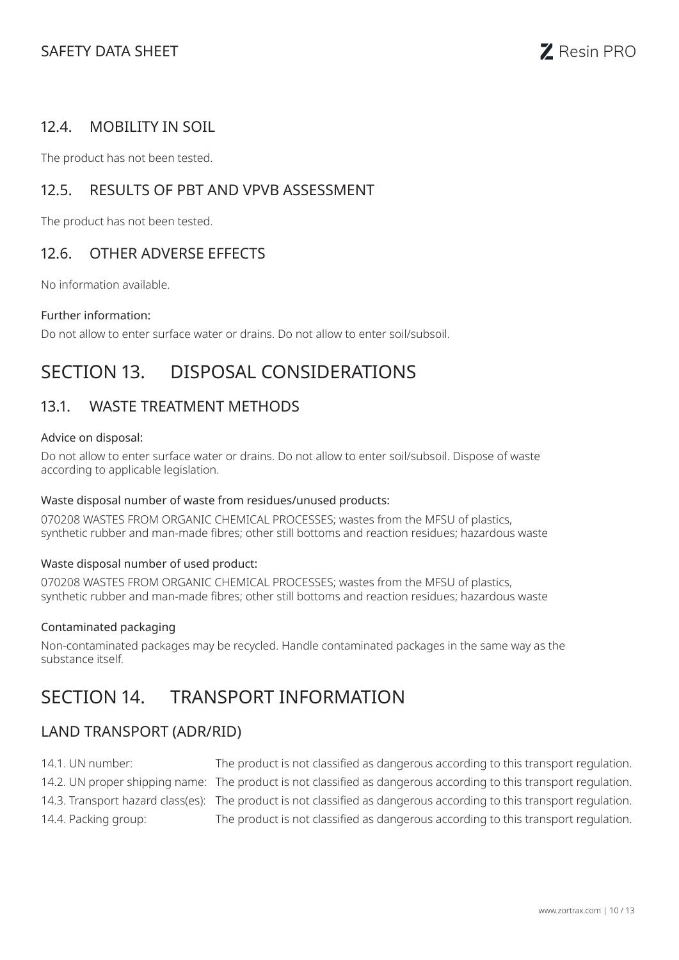

### 12.4. MOBILITY IN SOIL

The product has not been tested.

### 12.5. RESULTS OF PBT AND VPVB ASSESSMENT

The product has not been tested.

### 12.6. OTHER ADVERSE EFFECTS

No information available.

#### Further information:

Do not allow to enter surface water or drains. Do not allow to enter soil/subsoil.

## SECTION 13. DISPOSAL CONSIDERATIONS

### 13.1. WASTE TREATMENT METHODS

#### Advice on disposal:

Do not allow to enter surface water or drains. Do not allow to enter soil/subsoil. Dispose of waste according to applicable legislation.

#### Waste disposal number of waste from residues/unused products:

070208 WASTES FROM ORGANIC CHEMICAL PROCESSES; wastes from the MFSU of plastics, synthetic rubber and man-made fibres; other still bottoms and reaction residues; hazardous waste

#### Waste disposal number of used product:

070208 WASTES FROM ORGANIC CHEMICAL PROCESSES; wastes from the MFSU of plastics, synthetic rubber and man-made fibres; other still bottoms and reaction residues; hazardous waste

#### Contaminated packaging

Non-contaminated packages may be recycled. Handle contaminated packages in the same way as the substance itself.

## SECTION 14. TRANSPORT INFORMATION

### LAND TRANSPORT (ADR/RID)

- 14.1. UN number: The product is not classified as dangerous according to this transport regulation.
- 
- 
- 

14.2. UN proper shipping name: The product is not classified as dangerous according to this transport regulation. 14.3. Transport hazard class(es): The product is not classified as dangerous according to this transport regulation. 14.4. Packing group: The product is not classified as dangerous according to this transport regulation.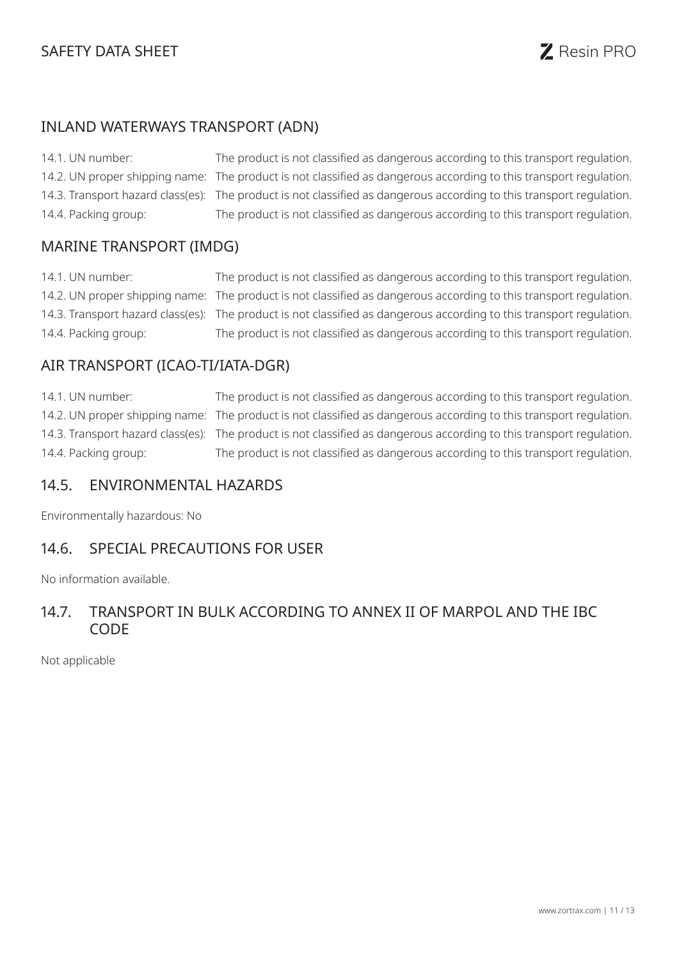

### INLAND WATERWAYS TRANSPORT (ADN)

14.1. UN number: The product is not classified as dangerous according to this transport regulation. 14.2. UN proper shipping name: The product is not classified as dangerous according to this transport regulation. 14.3. Transport hazard class(es): The product is not classified as dangerous according to this transport regulation. 14.4. Packing group: The product is not classified as dangerous according to this transport regulation.

#### MARINE TRANSPORT (IMDG)

14.1. UN number: The product is not classified as dangerous according to this transport regulation. 14.2. UN proper shipping name: The product is not classified as dangerous according to this transport regulation. 14.3. Transport hazard class(es): The product is not classified as dangerous according to this transport regulation. 14.4. Packing group: The product is not classified as dangerous according to this transport regulation.

#### AIR TRANSPORT (ICAO-TI/IATA-DGR)

14.1. UN number: The product is not classified as dangerous according to this transport regulation. 14.2. UN proper shipping name: The product is not classified as dangerous according to this transport regulation. 14.3. Transport hazard class(es): The product is not classified as dangerous according to this transport regulation. 14.4. Packing group: The product is not classified as dangerous according to this transport regulation.

#### 14.5. ENVIRONMENTAL HAZARDS

Environmentally hazardous: No

#### 14.6. SPECIAL PRECAUTIONS FOR USER

No information available.

#### 14.7. TRANSPORT IN BULK ACCORDING TO ANNEX II OF MARPOL AND THE IBC CODE

Not applicable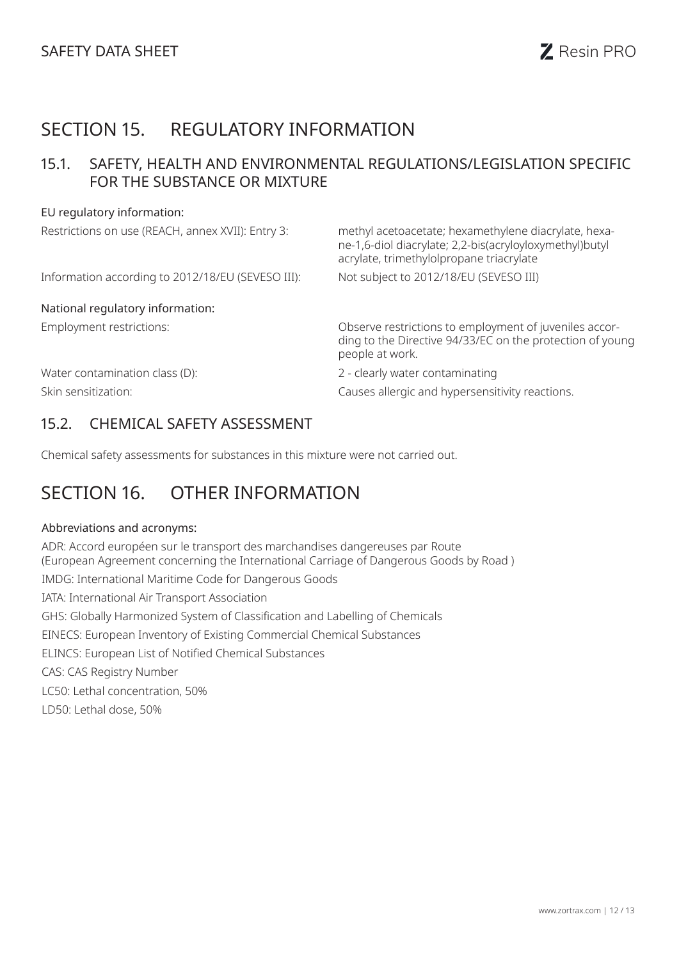# SECTION 15. REGULATORY INFORMATION

### 15.1. SAFETY, HEALTH AND ENVIRONMENTAL REGULATIONS/LEGISLATION SPECIFIC FOR THE SUBSTANCE OR MIXTURE

#### EU regulatory information:

| Restrictions on use (REACH, annex XVII): Entry 3: | methyl acetoacetate; hexamethylene diacrylate, hexa-<br>ne-1,6-diol diacrylate; 2,2-bis(acryloyloxymethyl)butyl<br>acrylate, trimethylolpropane triacrylate |
|---------------------------------------------------|-------------------------------------------------------------------------------------------------------------------------------------------------------------|
| Information according to 2012/18/EU (SEVESO III): | Not subject to 2012/18/EU (SEVESO III)                                                                                                                      |
| National regulatory information:                  |                                                                                                                                                             |
| Employment restrictions:                          | Observe restrictions to employment of juveniles accor-<br>ding to the Directive 94/33/EC on the protection of young<br>people at work.                      |
| Water contamination class (D):                    | 2 - clearly water contaminating                                                                                                                             |
| Skin sensitization:                               | Causes allergic and hypersensitivity reactions.                                                                                                             |

### 15.2. CHEMICAL SAFETY ASSESSMENT

Chemical safety assessments for substances in this mixture were not carried out.

# SECTION 16. OTHER INFORMATION

#### Abbreviations and acronyms:

ADR: Accord européen sur le transport des marchandises dangereuses par Route (European Agreement concerning the International Carriage of Dangerous Goods by Road ) IMDG: International Maritime Code for Dangerous Goods IATA: International Air Transport Association GHS: Globally Harmonized System of Classification and Labelling of Chemicals EINECS: European Inventory of Existing Commercial Chemical Substances ELINCS: European List of Notified Chemical Substances CAS: CAS Registry Number LC50: Lethal concentration, 50% LD50: Lethal dose, 50%